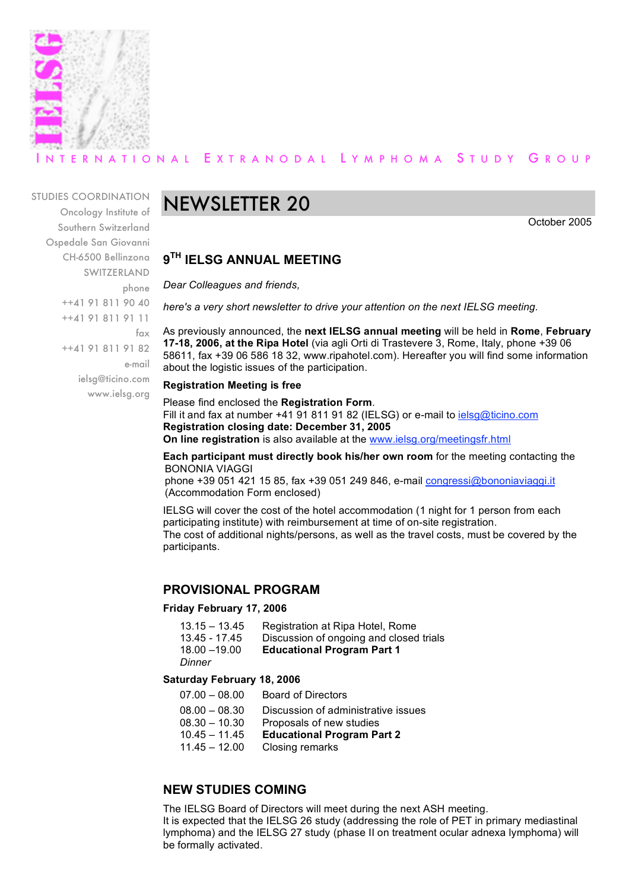

# ERNATIONAL EXTRANODAL LYMPHOMA STUDY GROUP

### STUDIES COORDINATION

Oncology Institute of Southern Switzerland Ospedale San Giovanni CH-6500 Bellinzona SWITZERLAND phone ++41 91 811 90 40 ++41 91 811 91 11 fax ++41 91 811 91 82 e-mail ielsg@ticino.com www.ielsg.org

# NEWSLETTER 20

October 2005

## **9TH IELSG ANNUAL MEETING**

*Dear Colleagues and friends,*

*here's a very short newsletter to drive your attention on the next IELSG meeting.*

As previously announced, the **next IELSG annual meeting** will be held in **Rome**, **February 17-18, 2006, at the Ripa Hotel** (via agli Orti di Trastevere 3, Rome, Italy, phone +39 06 58611, fax +39 06 586 18 32, www.ripahotel.com). Hereafter you will find some information about the logistic issues of the participation.

#### **Registration Meeting is free**

Please find enclosed the **Registration Form**. Fill it and fax at number +41 91 811 91 82 (IELSG) or e-mail to ielsg@ticino.com **Registration closing date: December 31, 2005 On line registration** is also available at the www.ielsg.org/meetingsfr.html

**Each participant must directly book his/her own room** for the meeting contacting the BONONIA VIAGGI

phone +39 051 421 15 85, fax +39 051 249 846, e-mail congressi@bononiaviaggi.it (Accommodation Form enclosed)

IELSG will cover the cost of the hotel accommodation (1 night for 1 person from each participating institute) with reimbursement at time of on-site registration. The cost of additional nights/persons, as well as the travel costs, must be covered by the participants.

## **PROVISIONAL PROGRAM**

#### **Friday February 17, 2006**

| 13.15 – 13.45 | Registration at Ripa Hotel, Rome        |
|---------------|-----------------------------------------|
| 13.45 - 17.45 | Discussion of ongoing and closed trials |
| 18.00 - 19.00 | <b>Educational Program Part 1</b>       |

*Dinner*

### **Saturday February 18, 2006**

- 07.00 08.00 Board of Directors
- 08.00 08.30 Discussion of administrative issues
- 08.30 10.30 Proposals of new studies
- 10.45 11.45 **Educational Program Part 2**
- 11.45 12.00 Closing remarks

# **NEW STUDIES COMING**

The IELSG Board of Directors will meet during the next ASH meeting. It is expected that the IELSG 26 study (addressing the role of PET in primary mediastinal lymphoma) and the IELSG 27 study (phase II on treatment ocular adnexa lymphoma) will be formally activated.